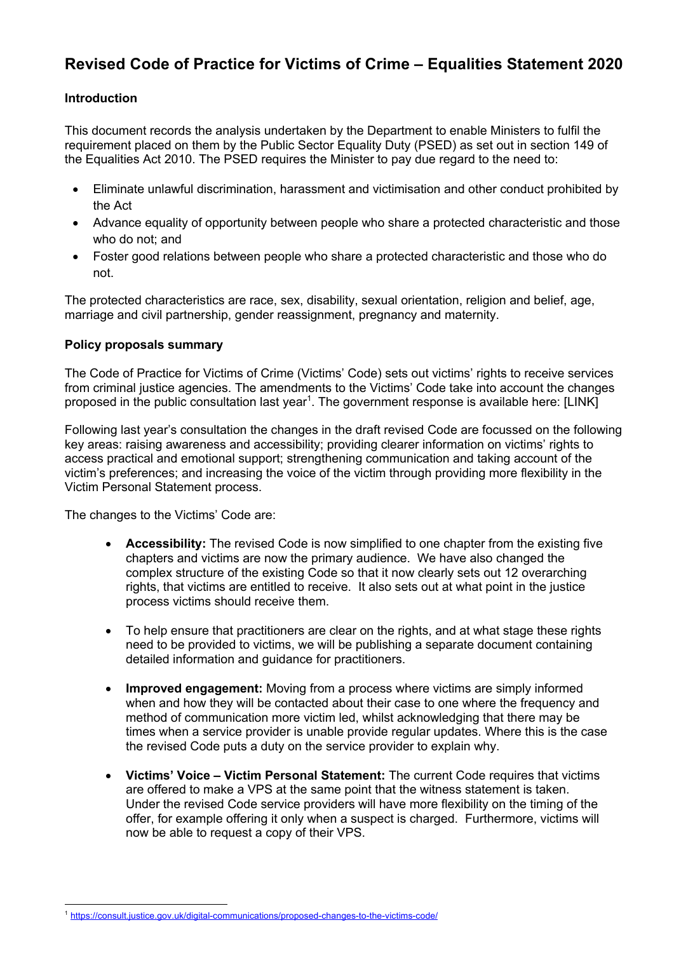# **Revised Code of Practice for Victims of Crime – Equalities Statement 2020**

## **Introduction**

 This document records the analysis undertaken by the Department to enable Ministers to fulfil the requirement placed on them by the Public Sector Equality Duty (PSED) as set out in section 149 of the Equalities Act 2010. The PSED requires the Minister to pay due regard to the need to:

- • Eliminate unlawful discrimination, harassment and victimisation and other conduct prohibited by the Act
- • Advance equality of opportunity between people who share a protected characteristic and those who do not; and
- Foster good relations between people who share a protected characteristic and those who do not.

 The protected characteristics are race, sex, disability, sexual orientation, religion and belief, age, marriage and civil partnership, gender reassignment, pregnancy and maternity.

## **Policy proposals summary**

 The Code of Practice for Victims of Crime (Victims' Code) sets out victims' rights to receive services from criminal justice agencies. The amendments to the Victims' Code take into account the changes proposed in the public consultation last year<sup>1</sup>. The government response is available here: [LINK]

 Following last year's consultation the changes in the draft revised Code are focussed on the following access practical and emotional support; strengthening communication and taking account of the victim's preferences; and increasing the voice of the victim through providing more flexibility in the Victim Personal Statement process. key areas: raising awareness and accessibility; providing clearer information on victims' rights to

The changes to the Victims' Code are:

- • **Accessibility:** The revised Code is now simplified to one chapter from the existing five chapters and victims are now the primary audience. We have also changed the complex structure of the existing Code so that it now clearly sets out 12 overarching rights, that victims are entitled to receive. It also sets out at what point in the justice process victims should receive them.
- • To help ensure that practitioners are clear on the rights, and at what stage these rights need to be provided to victims, we will be publishing a separate document containing detailed information and guidance for practitioners.
- • **Improved engagement:** Moving from a process where victims are simply informed when and how they will be contacted about their case to one where the frequency and method of communication more victim led, whilst acknowledging that there may be times when a service provider is unable provide regular updates. Where this is the case the revised Code puts a duty on the service provider to explain why.
- **Victims' Voice Victim Personal Statement:** The current Code requires that victims are offered to make a VPS at the same point that the witness statement is taken. Under the revised Code service providers will have more flexibility on the timing of the offer, for example offering it only when a suspect is charged. Furthermore, victims will now be able to request a copy of their VPS.

 1 [https://consult.justice.gov.uk/digital-communications/proposed-changes-to-the-victims-code/](https://consult.justice.gov.uk/digital-communications/proposed-changes-to-the-victims-code)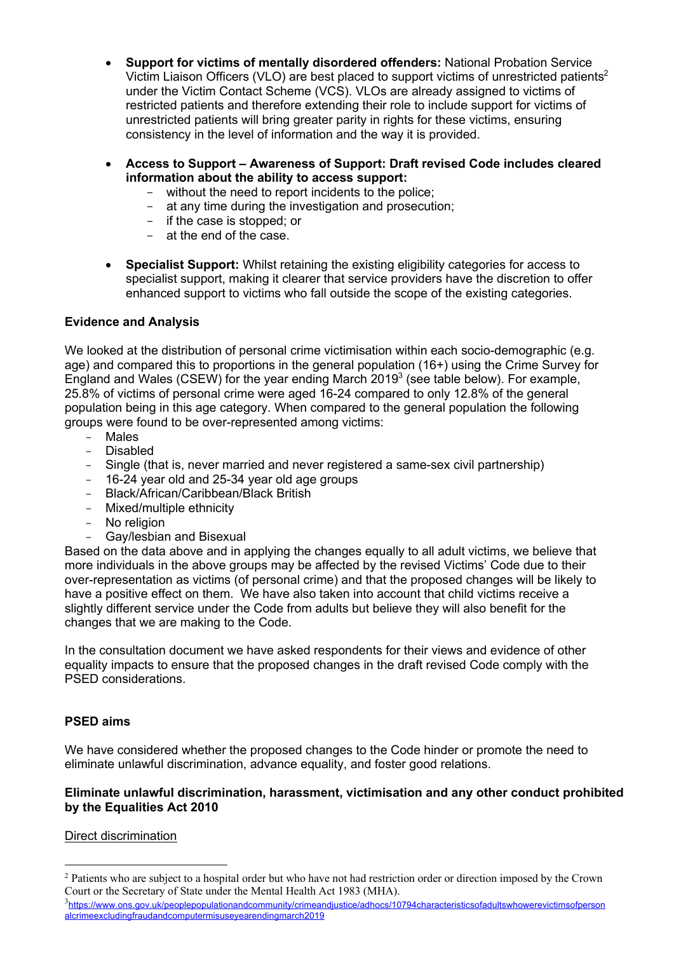- **Support for victims of mentally disordered offenders:** National Probation Service Victim Liaison Officers (VLO) are best placed to support victims of unrestricted patients<sup>2</sup> under the Victim Contact Scheme (VCS). VLOs are already assigned to victims of consistency in the level of information and the way it is provided. restricted patients and therefore extending their role to include support for victims of unrestricted patients will bring greater parity in rights for these victims, ensuring
- **Access to Support Awareness of Support: Draft revised Code includes cleared information about the ability to access support:** 
	- without the need to report incidents to the police;
	- at any time during the investigation and prosecution;
	- if the case is stopped; or
	- at the end of the case.
- • **Specialist Support:** Whilst retaining the existing eligibility categories for access to specialist support, making it clearer that service providers have the discretion to offer enhanced support to victims who fall outside the scope of the existing categories.

## **Evidence and Analysis**

 We looked at the distribution of personal crime victimisation within each socio-demographic (e.g. England and Wales (CSEW) for the year ending March 2019 $3$  (see table below). For example, 25.8% of victims of personal crime were aged 16-24 compared to only 12.8% of the general age) and compared this to proportions in the general population (16+) using the Crime Survey for population being in this age category. When compared to the general population the following groups were found to be over-represented among victims:

- Males
- Disabled
- Single (that is, never married and never registered a same-sex civil partnership)
- 16-24 year old and 25-34 year old age groups
- Black/African/Caribbean/Black British
- Mixed/multiple ethnicity
- No religion
- Gay/lesbian and Bisexual

 Based on the data above and in applying the changes equally to all adult victims, we believe that more individuals in the above groups may be affected by the revised Victims' Code due to their over-representation as victims (of personal crime) and that the proposed changes will be likely to have a positive effect on them. We have also taken into account that child victims receive a slightly different service under the Code from adults but believe they will also benefit for the changes that we are making to the Code.

 In the consultation document we have asked respondents for their views and evidence of other PSED considerations. equality impacts to ensure that the proposed changes in the draft revised Code comply with the

## **PSED aims**

 We have considered whether the proposed changes to the Code hinder or promote the need to eliminate unlawful discrimination, advance equality, and foster good relations.

## **Eliminate unlawful discrimination, harassment, victimisation and any other conduct prohibited by the Equalities Act 2010**

## Direct discrimination

 $2$  Patients who are subject to a hospital order but who have not had restriction order or direction imposed by the Crown Court or the Secretary of State under the Mental Health Act 1983 (MHA).

<sup>&</sup>lt;sup>3</sup>https://www.ons.gov.uk/peoplepopulationandcommunity/crimeandjustice/adhocs/10794characteristicsofadultswhowerevictimsofperson alcrimeexcludingfraudandcomputermisuseyearendingmarch2019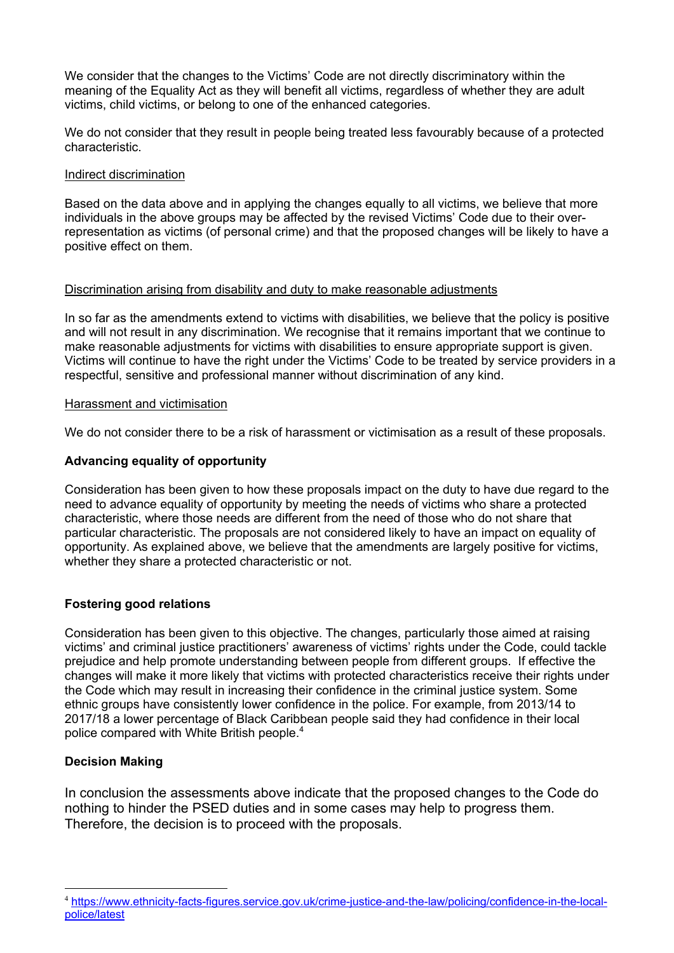We consider that the changes to the Victims' Code are not directly discriminatory within the meaning of the Equality Act as they will benefit all victims, regardless of whether they are adult victims, child victims, or belong to one of the enhanced categories.

 We do not consider that they result in people being treated less favourably because of a protected characteristic.

### Indirect discrimination

 Based on the data above and in applying the changes equally to all victims, we believe that more individuals in the above groups may be affected by the revised Victims' Code due to their over- positive effect on them. representation as victims (of personal crime) and that the proposed changes will be likely to have a

#### Discrimination arising from disability and duty to make reasonable adjustments

 and will not result in any discrimination. We recognise that it remains important that we continue to make reasonable adjustments for victims with disabilities to ensure appropriate support is given. Victims will continue to have the right under the Victims' Code to be treated by service providers in a In so far as the amendments extend to victims with disabilities, we believe that the policy is positive respectful, sensitive and professional manner without discrimination of any kind.

#### Harassment and victimisation

We do not consider there to be a risk of harassment or victimisation as a result of these proposals.

## **Advancing equality of opportunity**

 Consideration has been given to how these proposals impact on the duty to have due regard to the need to advance equality of opportunity by meeting the needs of victims who share a protected characteristic, where those needs are different from the need of those who do not share that particular characteristic. The proposals are not considered likely to have an impact on equality of opportunity. As explained above, we believe that the amendments are largely positive for victims, whether they share a protected characteristic or not.

## **Fostering good relations**

 Consideration has been given to this objective. The changes, particularly those aimed at raising victims' and criminal justice practitioners' awareness of victims' rights under the Code, could tackle prejudice and help promote understanding between people from different groups. If effective the changes will make it more likely that victims with protected characteristics receive their rights under the Code which may result in increasing their confidence in the criminal justice system. Some 2017/18 a lower percentage of Black Caribbean people said they had confidence in their local police compared with White British people. 4 ethnic groups have consistently lower confidence in the police. For example, from 2013/14 to

## **Decision Making**

 In conclusion the assessments above indicate that the proposed changes to the Code do nothing to hinder the PSED duties and in some cases may help to progress them. Therefore, the decision is to proceed with the proposals.

 police/latest 4 <https://www.ethnicity-facts-figures.service.gov.uk/crime-justice-and-the-law/policing/confidence-in-the-local>-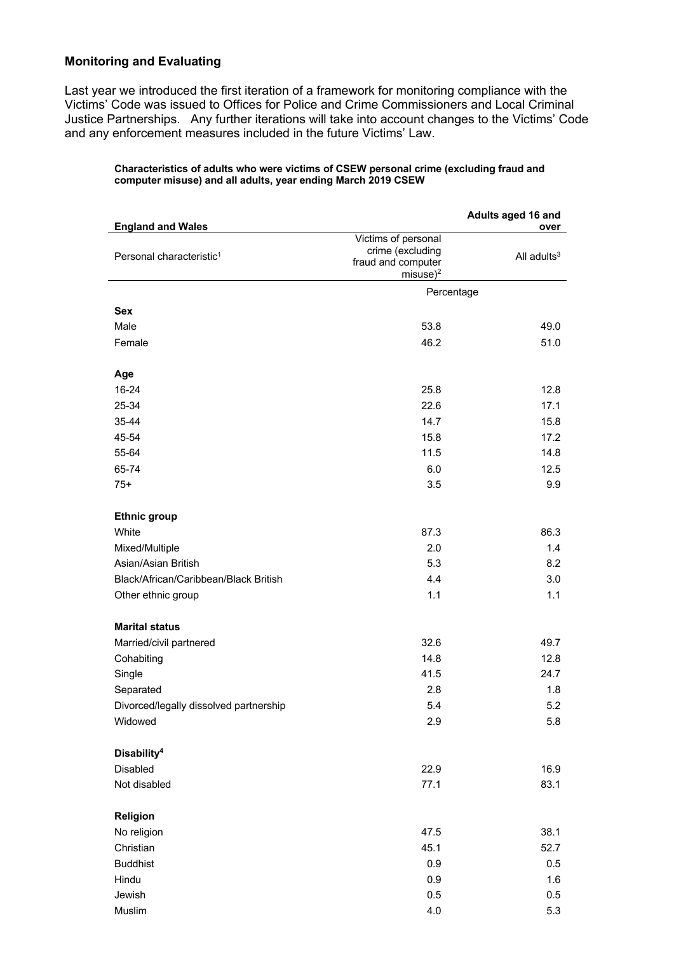### **Monitoring and Evaluating**

 Last year we introduced the first iteration of a framework for monitoring compliance with the Victims' Code was issued to Offices for Police and Crime Commissioners and Local Criminal Justice Partnerships. Any further iterations will take into account changes to the Victims' Code and any enforcement measures included in the future Victims' Law.

#### **Characteristics of adults who were victims of CSEW personal crime (excluding fraud and computer misuse) and all adults, year ending March 2019 CSEW**

|                                                                  | Adults aged 16 and                                            |                        |  |
|------------------------------------------------------------------|---------------------------------------------------------------|------------------------|--|
| <b>England and Wales</b><br>Personal characteristic <sup>1</sup> | Victims of personal<br>crime (excluding<br>fraud and computer | over<br>All adults $3$ |  |
|                                                                  | misuse $)^2$                                                  |                        |  |
|                                                                  | Percentage                                                    |                        |  |
| <b>Sex</b>                                                       |                                                               |                        |  |
| Male                                                             | 53.8                                                          | 49.0                   |  |
| Female                                                           | 46.2                                                          | 51.0                   |  |
| Age                                                              |                                                               |                        |  |
| 16-24                                                            | 25.8                                                          | 12.8                   |  |
| 25-34                                                            | 22.6                                                          | 17.1                   |  |
| 35-44                                                            | 14.7                                                          | 15.8                   |  |
| 45-54                                                            | 15.8                                                          | 17.2                   |  |
| 55-64                                                            | 11.5                                                          | 14.8                   |  |
| 65-74                                                            | 6.0                                                           | 12.5                   |  |
| $75+$                                                            | 3.5                                                           | 9.9                    |  |
| <b>Ethnic group</b>                                              |                                                               |                        |  |
| White                                                            | 87.3                                                          | 86.3                   |  |
| Mixed/Multiple                                                   | 2.0                                                           | 1.4                    |  |
| Asian/Asian British                                              | 5.3                                                           | 8.2                    |  |
| Black/African/Caribbean/Black British                            | 4.4                                                           | 3.0                    |  |
| Other ethnic group                                               | 1.1                                                           | 1.1                    |  |
| <b>Marital status</b>                                            |                                                               |                        |  |
| Married/civil partnered                                          | 32.6                                                          | 49.7                   |  |
| Cohabiting                                                       | 14.8                                                          | 12.8                   |  |
| Single                                                           | 41.5                                                          | 24.7                   |  |
| Separated                                                        | 2.8                                                           | 1.8                    |  |
| Divorced/legally dissolved partnership                           | 5.4                                                           | 5.2                    |  |
| Widowed                                                          | 2.9                                                           | 5.8                    |  |
| Disability <sup>4</sup>                                          |                                                               |                        |  |
| Disabled                                                         | 22.9                                                          | 16.9                   |  |
| Not disabled                                                     | 77.1                                                          | 83.1                   |  |
| Religion                                                         |                                                               |                        |  |
| No religion                                                      | 47.5                                                          | 38.1                   |  |
| Christian                                                        | 45.1                                                          | 52.7                   |  |
| <b>Buddhist</b>                                                  | 0.9                                                           | 0.5                    |  |
| Hindu                                                            | 0.9                                                           | 1.6                    |  |
| Jewish                                                           | 0.5                                                           | 0.5                    |  |
| Muslim                                                           | 4.0                                                           | 5.3                    |  |